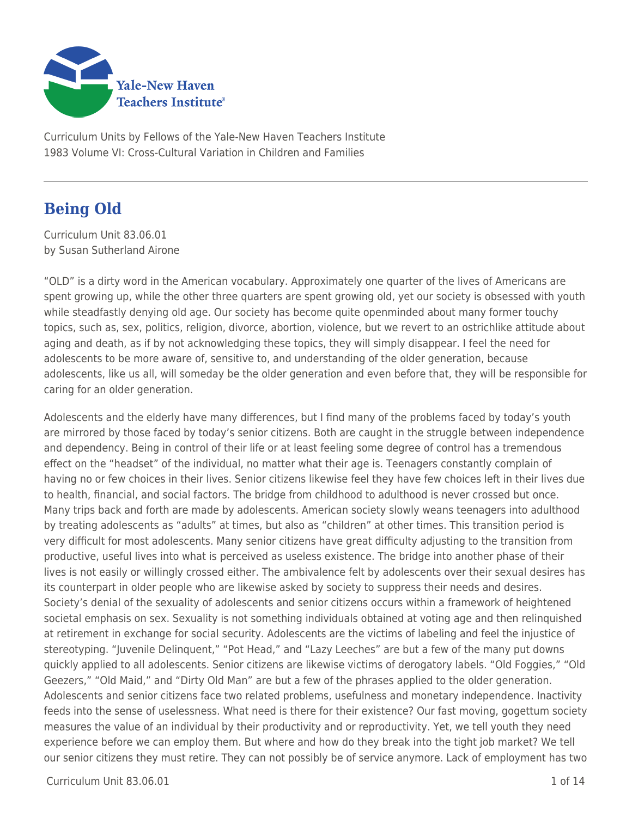

Curriculum Units by Fellows of the Yale-New Haven Teachers Institute 1983 Volume VI: Cross-Cultural Variation in Children and Families

# **Being Old**

Curriculum Unit 83.06.01 by Susan Sutherland Airone

"OLD" is a dirty word in the American vocabulary. Approximately one quarter of the lives of Americans are spent growing up, while the other three quarters are spent growing old, yet our society is obsessed with youth while steadfastly denying old age. Our society has become quite openminded about many former touchy topics, such as, sex, politics, religion, divorce, abortion, violence, but we revert to an ostrichlike attitude about aging and death, as if by not acknowledging these topics, they will simply disappear. I feel the need for adolescents to be more aware of, sensitive to, and understanding of the older generation, because adolescents, like us all, will someday be the older generation and even before that, they will be responsible for caring for an older generation.

Adolescents and the elderly have many differences, but I find many of the problems faced by today's youth are mirrored by those faced by today's senior citizens. Both are caught in the struggle between independence and dependency. Being in control of their life or at least feeling some degree of control has a tremendous effect on the "headset" of the individual, no matter what their age is. Teenagers constantly complain of having no or few choices in their lives. Senior citizens likewise feel they have few choices left in their lives due to health, financial, and social factors. The bridge from childhood to adulthood is never crossed but once. Many trips back and forth are made by adolescents. American society slowly weans teenagers into adulthood by treating adolescents as "adults" at times, but also as "children" at other times. This transition period is very difficult for most adolescents. Many senior citizens have great difficulty adjusting to the transition from productive, useful lives into what is perceived as useless existence. The bridge into another phase of their lives is not easily or willingly crossed either. The ambivalence felt by adolescents over their sexual desires has its counterpart in older people who are likewise asked by society to suppress their needs and desires. Society's denial of the sexuality of adolescents and senior citizens occurs within a framework of heightened societal emphasis on sex. Sexuality is not something individuals obtained at voting age and then relinquished at retirement in exchange for social security. Adolescents are the victims of labeling and feel the injustice of stereotyping. "Juvenile Delinquent," "Pot Head," and "Lazy Leeches" are but a few of the many put downs quickly applied to all adolescents. Senior citizens are likewise victims of derogatory labels. "Old Foggies," "Old Geezers," "Old Maid," and "Dirty Old Man" are but a few of the phrases applied to the older generation. Adolescents and senior citizens face two related problems, usefulness and monetary independence. Inactivity feeds into the sense of uselessness. What need is there for their existence? Our fast moving, gogettum society measures the value of an individual by their productivity and or reproductivity. Yet, we tell youth they need experience before we can employ them. But where and how do they break into the tight job market? We tell our senior citizens they must retire. They can not possibly be of service anymore. Lack of employment has two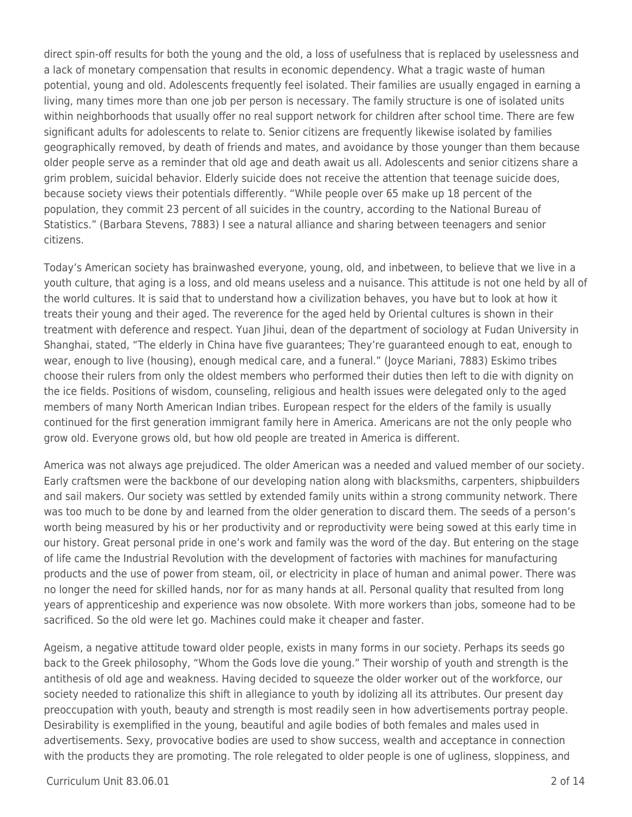direct spin-off results for both the young and the old, a loss of usefulness that is replaced by uselessness and a lack of monetary compensation that results in economic dependency. What a tragic waste of human potential, young and old. Adolescents frequently feel isolated. Their families are usually engaged in earning a living, many times more than one job per person is necessary. The family structure is one of isolated units within neighborhoods that usually offer no real support network for children after school time. There are few significant adults for adolescents to relate to. Senior citizens are frequently likewise isolated by families geographically removed, by death of friends and mates, and avoidance by those younger than them because older people serve as a reminder that old age and death await us all. Adolescents and senior citizens share a grim problem, suicidal behavior. Elderly suicide does not receive the attention that teenage suicide does, because society views their potentials differently. "While people over 65 make up 18 percent of the population, they commit 23 percent of all suicides in the country, according to the National Bureau of Statistics." (Barbara Stevens, 7883) I see a natural alliance and sharing between teenagers and senior citizens.

Today's American society has brainwashed everyone, young, old, and inbetween, to believe that we live in a youth culture, that aging is a loss, and old means useless and a nuisance. This attitude is not one held by all of the world cultures. It is said that to understand how a civilization behaves, you have but to look at how it treats their young and their aged. The reverence for the aged held by Oriental cultures is shown in their treatment with deference and respect. Yuan Jihui, dean of the department of sociology at Fudan University in Shanghai, stated, "The elderly in China have five guarantees; They're guaranteed enough to eat, enough to wear, enough to live (housing), enough medical care, and a funeral." (Joyce Mariani, 7883) Eskimo tribes choose their rulers from only the oldest members who performed their duties then left to die with dignity on the ice fields. Positions of wisdom, counseling, religious and health issues were delegated only to the aged members of many North American Indian tribes. European respect for the elders of the family is usually continued for the first generation immigrant family here in America. Americans are not the only people who grow old. Everyone grows old, but how old people are treated in America is different.

America was not always age prejudiced. The older American was a needed and valued member of our society. Early craftsmen were the backbone of our developing nation along with blacksmiths, carpenters, shipbuilders and sail makers. Our society was settled by extended family units within a strong community network. There was too much to be done by and learned from the older generation to discard them. The seeds of a person's worth being measured by his or her productivity and or reproductivity were being sowed at this early time in our history. Great personal pride in one's work and family was the word of the day. But entering on the stage of life came the Industrial Revolution with the development of factories with machines for manufacturing products and the use of power from steam, oil, or electricity in place of human and animal power. There was no longer the need for skilled hands, nor for as many hands at all. Personal quality that resulted from long years of apprenticeship and experience was now obsolete. With more workers than jobs, someone had to be sacrificed. So the old were let go. Machines could make it cheaper and faster.

Ageism, a negative attitude toward older people, exists in many forms in our society. Perhaps its seeds go back to the Greek philosophy, "Whom the Gods love die young." Their worship of youth and strength is the antithesis of old age and weakness. Having decided to squeeze the older worker out of the workforce, our society needed to rationalize this shift in allegiance to youth by idolizing all its attributes. Our present day preoccupation with youth, beauty and strength is most readily seen in how advertisements portray people. Desirability is exemplified in the young, beautiful and agile bodies of both females and males used in advertisements. Sexy, provocative bodies are used to show success, wealth and acceptance in connection with the products they are promoting. The role relegated to older people is one of ugliness, sloppiness, and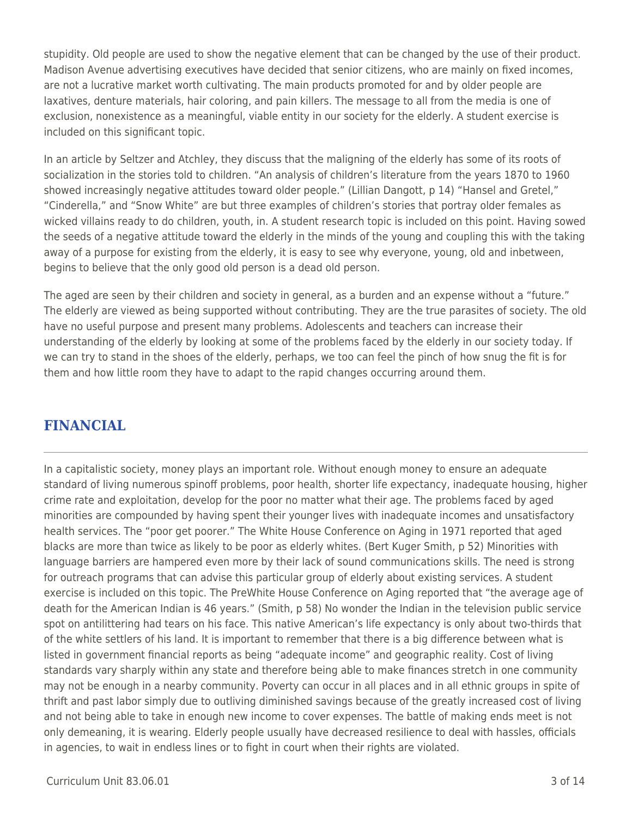stupidity. Old people are used to show the negative element that can be changed by the use of their product. Madison Avenue advertising executives have decided that senior citizens, who are mainly on fixed incomes, are not a lucrative market worth cultivating. The main products promoted for and by older people are laxatives, denture materials, hair coloring, and pain killers. The message to all from the media is one of exclusion, nonexistence as a meaningful, viable entity in our society for the elderly. A student exercise is included on this significant topic.

In an article by Seltzer and Atchley, they discuss that the maligning of the elderly has some of its roots of socialization in the stories told to children. "An analysis of children's literature from the years 1870 to 1960 showed increasingly negative attitudes toward older people." (Lillian Dangott, p 14) "Hansel and Gretel," "Cinderella," and "Snow White" are but three examples of children's stories that portray older females as wicked villains ready to do children, youth, in. A student research topic is included on this point. Having sowed the seeds of a negative attitude toward the elderly in the minds of the young and coupling this with the taking away of a purpose for existing from the elderly, it is easy to see why everyone, young, old and inbetween, begins to believe that the only good old person is a dead old person.

The aged are seen by their children and society in general, as a burden and an expense without a "future." The elderly are viewed as being supported without contributing. They are the true parasites of society. The old have no useful purpose and present many problems. Adolescents and teachers can increase their understanding of the elderly by looking at some of the problems faced by the elderly in our society today. If we can try to stand in the shoes of the elderly, perhaps, we too can feel the pinch of how snug the fit is for them and how little room they have to adapt to the rapid changes occurring around them.

### **FINANCIAL**

In a capitalistic society, money plays an important role. Without enough money to ensure an adequate standard of living numerous spinoff problems, poor health, shorter life expectancy, inadequate housing, higher crime rate and exploitation, develop for the poor no matter what their age. The problems faced by aged minorities are compounded by having spent their younger lives with inadequate incomes and unsatisfactory health services. The "poor get poorer." The White House Conference on Aging in 1971 reported that aged blacks are more than twice as likely to be poor as elderly whites. (Bert Kuger Smith, p 52) Minorities with language barriers are hampered even more by their lack of sound communications skills. The need is strong for outreach programs that can advise this particular group of elderly about existing services. A student exercise is included on this topic. The PreWhite House Conference on Aging reported that "the average age of death for the American Indian is 46 years." (Smith, p 58) No wonder the Indian in the television public service spot on antilittering had tears on his face. This native American's life expectancy is only about two-thirds that of the white settlers of his land. It is important to remember that there is a big difference between what is listed in government financial reports as being "adequate income" and geographic reality. Cost of living standards vary sharply within any state and therefore being able to make finances stretch in one community may not be enough in a nearby community. Poverty can occur in all places and in all ethnic groups in spite of thrift and past labor simply due to outliving diminished savings because of the greatly increased cost of living and not being able to take in enough new income to cover expenses. The battle of making ends meet is not only demeaning, it is wearing. Elderly people usually have decreased resilience to deal with hassles, officials in agencies, to wait in endless lines or to fight in court when their rights are violated.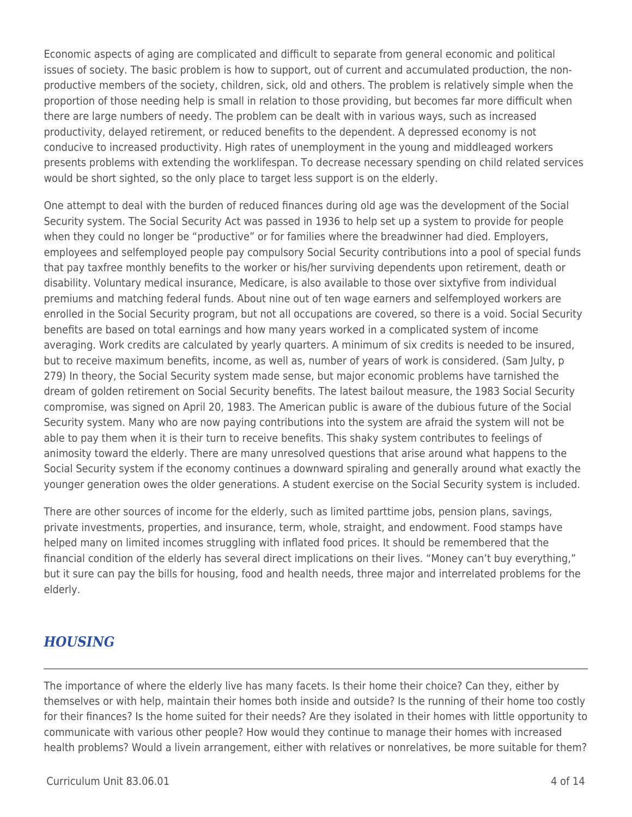Economic aspects of aging are complicated and difficult to separate from general economic and political issues of society. The basic problem is how to support, out of current and accumulated production, the nonproductive members of the society, children, sick, old and others. The problem is relatively simple when the proportion of those needing help is small in relation to those providing, but becomes far more difficult when there are large numbers of needy. The problem can be dealt with in various ways, such as increased productivity, delayed retirement, or reduced benefits to the dependent. A depressed economy is not conducive to increased productivity. High rates of unemployment in the young and middleaged workers presents problems with extending the worklifespan. To decrease necessary spending on child related services would be short sighted, so the only place to target less support is on the elderly.

One attempt to deal with the burden of reduced finances during old age was the development of the Social Security system. The Social Security Act was passed in 1936 to help set up a system to provide for people when they could no longer be "productive" or for families where the breadwinner had died. Employers, employees and selfemployed people pay compulsory Social Security contributions into a pool of special funds that pay taxfree monthly benefits to the worker or his/her surviving dependents upon retirement, death or disability. Voluntary medical insurance, Medicare, is also available to those over sixtyfive from individual premiums and matching federal funds. About nine out of ten wage earners and selfemployed workers are enrolled in the Social Security program, but not all occupations are covered, so there is a void. Social Security benefits are based on total earnings and how many years worked in a complicated system of income averaging. Work credits are calculated by yearly quarters. A minimum of six credits is needed to be insured, but to receive maximum benefits, income, as well as, number of years of work is considered. (Sam Julty, p 279) In theory, the Social Security system made sense, but major economic problems have tarnished the dream of golden retirement on Social Security benefits. The latest bailout measure, the 1983 Social Security compromise, was signed on April 20, 1983. The American public is aware of the dubious future of the Social Security system. Many who are now paying contributions into the system are afraid the system will not be able to pay them when it is their turn to receive benefits. This shaky system contributes to feelings of animosity toward the elderly. There are many unresolved questions that arise around what happens to the Social Security system if the economy continues a downward spiraling and generally around what exactly the younger generation owes the older generations. A student exercise on the Social Security system is included.

There are other sources of income for the elderly, such as limited parttime jobs, pension plans, savings, private investments, properties, and insurance, term, whole, straight, and endowment. Food stamps have helped many on limited incomes struggling with inflated food prices. It should be remembered that the financial condition of the elderly has several direct implications on their lives. "Money can't buy everything," but it sure can pay the bills for housing, food and health needs, three major and interrelated problems for the elderly.

### *HOUSING*

The importance of where the elderly live has many facets. Is their home their choice? Can they, either by themselves or with help, maintain their homes both inside and outside? Is the running of their home too costly for their finances? Is the home suited for their needs? Are they isolated in their homes with little opportunity to communicate with various other people? How would they continue to manage their homes with increased health problems? Would a livein arrangement, either with relatives or nonrelatives, be more suitable for them?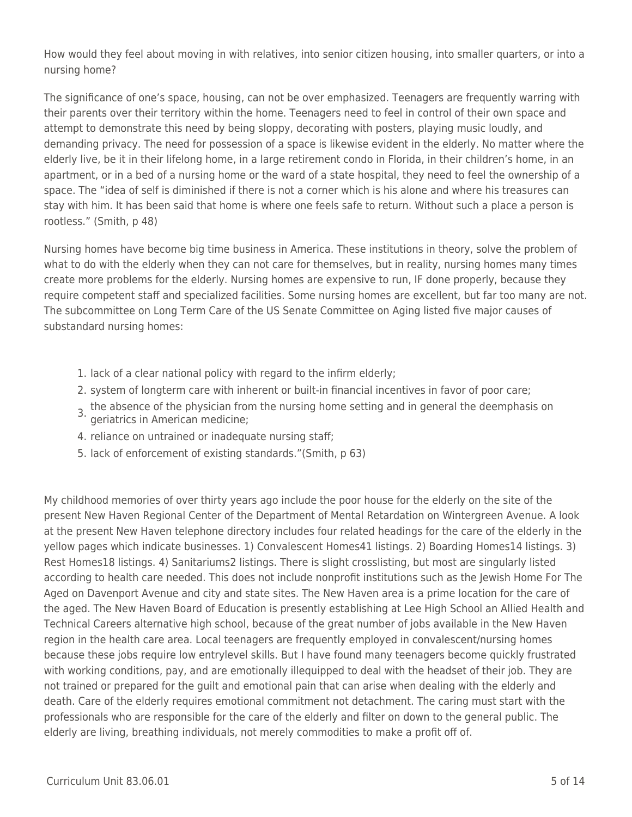How would they feel about moving in with relatives, into senior citizen housing, into smaller quarters, or into a nursing home?

The significance of one's space, housing, can not be over emphasized. Teenagers are frequently warring with their parents over their territory within the home. Teenagers need to feel in control of their own space and attempt to demonstrate this need by being sloppy, decorating with posters, playing music loudly, and demanding privacy. The need for possession of a space is likewise evident in the elderly. No matter where the elderly live, be it in their lifelong home, in a large retirement condo in Florida, in their children's home, in an apartment, or in a bed of a nursing home or the ward of a state hospital, they need to feel the ownership of a space. The "idea of self is diminished if there is not a corner which is his alone and where his treasures can stay with him. It has been said that home is where one feels safe to return. Without such a place a person is rootless." (Smith, p 48)

Nursing homes have become big time business in America. These institutions in theory, solve the problem of what to do with the elderly when they can not care for themselves, but in reality, nursing homes many times create more problems for the elderly. Nursing homes are expensive to run, IF done properly, because they require competent staff and specialized facilities. Some nursing homes are excellent, but far too many are not. The subcommittee on Long Term Care of the US Senate Committee on Aging listed five major causes of substandard nursing homes:

- 1. lack of a clear national policy with regard to the infirm elderly;
- 2. system of longterm care with inherent or built-in financial incentives in favor of poor care;
- 3. the absence of the physician from the nursing home setting and in general the deemphasis on geriatrics in American medicine;
- 4. reliance on untrained or inadequate nursing staff;
- 5. lack of enforcement of existing standards."(Smith, p 63)

My childhood memories of over thirty years ago include the poor house for the elderly on the site of the present New Haven Regional Center of the Department of Mental Retardation on Wintergreen Avenue. A look at the present New Haven telephone directory includes four related headings for the care of the elderly in the yellow pages which indicate businesses. 1) Convalescent Homes41 listings. 2) Boarding Homes14 listings. 3) Rest Homes18 listings. 4) Sanitariums2 listings. There is slight crosslisting, but most are singularly listed according to health care needed. This does not include nonprofit institutions such as the Jewish Home For The Aged on Davenport Avenue and city and state sites. The New Haven area is a prime location for the care of the aged. The New Haven Board of Education is presently establishing at Lee High School an Allied Health and Technical Careers alternative high school, because of the great number of jobs available in the New Haven region in the health care area. Local teenagers are frequently employed in convalescent/nursing homes because these jobs require low entrylevel skills. But I have found many teenagers become quickly frustrated with working conditions, pay, and are emotionally illequipped to deal with the headset of their job. They are not trained or prepared for the guilt and emotional pain that can arise when dealing with the elderly and death. Care of the elderly requires emotional commitment not detachment. The caring must start with the professionals who are responsible for the care of the elderly and filter on down to the general public. The elderly are living, breathing individuals, not merely commodities to make a profit off of.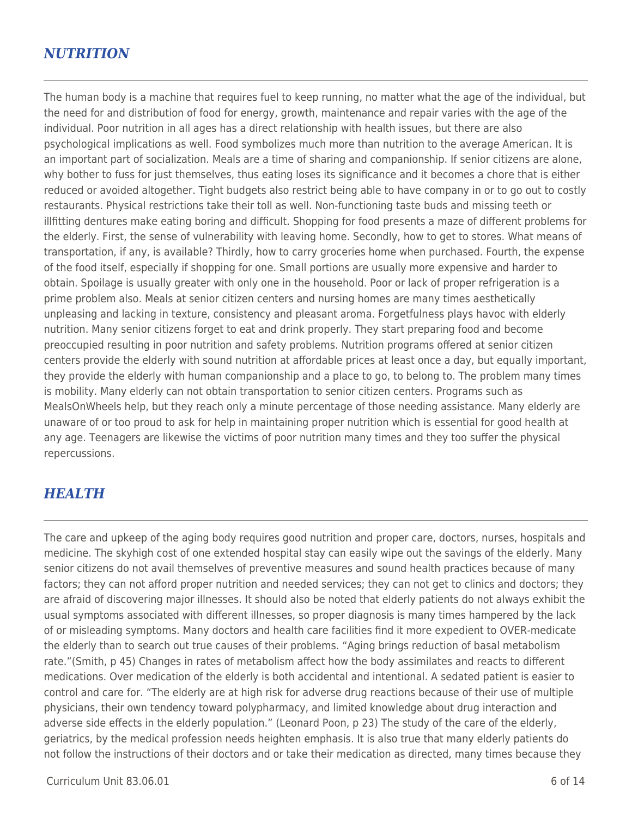### *NUTRITION*

The human body is a machine that requires fuel to keep running, no matter what the age of the individual, but the need for and distribution of food for energy, growth, maintenance and repair varies with the age of the individual. Poor nutrition in all ages has a direct relationship with health issues, but there are also psychological implications as well. Food symbolizes much more than nutrition to the average American. It is an important part of socialization. Meals are a time of sharing and companionship. If senior citizens are alone, why bother to fuss for just themselves, thus eating loses its significance and it becomes a chore that is either reduced or avoided altogether. Tight budgets also restrict being able to have company in or to go out to costly restaurants. Physical restrictions take their toll as well. Non-functioning taste buds and missing teeth or illfitting dentures make eating boring and difficult. Shopping for food presents a maze of different problems for the elderly. First, the sense of vulnerability with leaving home. Secondly, how to get to stores. What means of transportation, if any, is available? Thirdly, how to carry groceries home when purchased. Fourth, the expense of the food itself, especially if shopping for one. Small portions are usually more expensive and harder to obtain. Spoilage is usually greater with only one in the household. Poor or lack of proper refrigeration is a prime problem also. Meals at senior citizen centers and nursing homes are many times aesthetically unpleasing and lacking in texture, consistency and pleasant aroma. Forgetfulness plays havoc with elderly nutrition. Many senior citizens forget to eat and drink properly. They start preparing food and become preoccupied resulting in poor nutrition and safety problems. Nutrition programs offered at senior citizen centers provide the elderly with sound nutrition at affordable prices at least once a day, but equally important, they provide the elderly with human companionship and a place to go, to belong to. The problem many times is mobility. Many elderly can not obtain transportation to senior citizen centers. Programs such as MealsOnWheels help, but they reach only a minute percentage of those needing assistance. Many elderly are unaware of or too proud to ask for help in maintaining proper nutrition which is essential for good health at any age. Teenagers are likewise the victims of poor nutrition many times and they too suffer the physical repercussions.

### *HEALTH*

The care and upkeep of the aging body requires good nutrition and proper care, doctors, nurses, hospitals and medicine. The skyhigh cost of one extended hospital stay can easily wipe out the savings of the elderly. Many senior citizens do not avail themselves of preventive measures and sound health practices because of many factors; they can not afford proper nutrition and needed services; they can not get to clinics and doctors; they are afraid of discovering major illnesses. It should also be noted that elderly patients do not always exhibit the usual symptoms associated with different illnesses, so proper diagnosis is many times hampered by the lack of or misleading symptoms. Many doctors and health care facilities find it more expedient to OVER-medicate the elderly than to search out true causes of their problems. "Aging brings reduction of basal metabolism rate."(Smith, p 45) Changes in rates of metabolism affect how the body assimilates and reacts to different medications. Over medication of the elderly is both accidental and intentional. A sedated patient is easier to control and care for. "The elderly are at high risk for adverse drug reactions because of their use of multiple physicians, their own tendency toward polypharmacy, and limited knowledge about drug interaction and adverse side effects in the elderly population." (Leonard Poon, p 23) The study of the care of the elderly, geriatrics, by the medical profession needs heighten emphasis. It is also true that many elderly patients do not follow the instructions of their doctors and or take their medication as directed, many times because they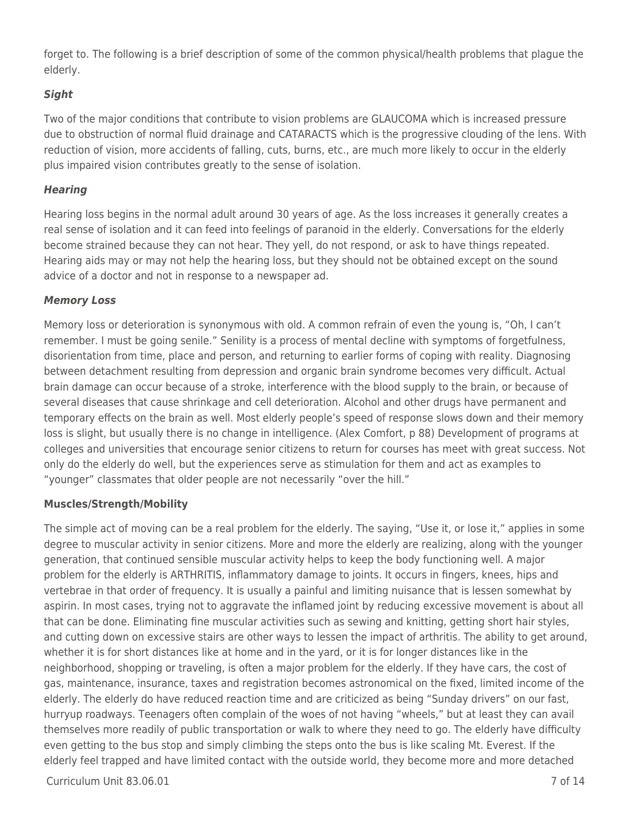forget to. The following is a brief description of some of the common physical/health problems that plague the elderly.

### *Sight*

Two of the major conditions that contribute to vision problems are GLAUCOMA which is increased pressure due to obstruction of normal fluid drainage and CATARACTS which is the progressive clouding of the lens. With reduction of vision, more accidents of falling, cuts, burns, etc., are much more likely to occur in the elderly plus impaired vision contributes greatly to the sense of isolation.

#### *Hearing*

Hearing loss begins in the normal adult around 30 years of age. As the loss increases it generally creates a real sense of isolation and it can feed into feelings of paranoid in the elderly. Conversations for the elderly become strained because they can not hear. They yell, do not respond, or ask to have things repeated. Hearing aids may or may not help the hearing loss, but they should not be obtained except on the sound advice of a doctor and not in response to a newspaper ad.

#### *Memory Loss*

Memory loss or deterioration is synonymous with old. A common refrain of even the young is, "Oh, I can't remember. I must be going senile." Senility is a process of mental decline with symptoms of forgetfulness, disorientation from time, place and person, and returning to earlier forms of coping with reality. Diagnosing between detachment resulting from depression and organic brain syndrome becomes very difficult. Actual brain damage can occur because of a stroke, interference with the blood supply to the brain, or because of several diseases that cause shrinkage and cell deterioration. Alcohol and other drugs have permanent and temporary effects on the brain as well. Most elderly people's speed of response slows down and their memory loss is slight, but usually there is no change in intelligence. (Alex Comfort, p 88) Development of programs at colleges and universities that encourage senior citizens to return for courses has meet with great success. Not only do the elderly do well, but the experiences serve as stimulation for them and act as examples to "younger" classmates that older people are not necessarily "over the hill."

#### **Muscles/Strength/Mobility**

The simple act of moving can be a real problem for the elderly. The saying, "Use it, or lose it," applies in some degree to muscular activity in senior citizens. More and more the elderly are realizing, along with the younger generation, that continued sensible muscular activity helps to keep the body functioning well. A major problem for the elderly is ARTHRITIS, inflammatory damage to joints. It occurs in fingers, knees, hips and vertebrae in that order of frequency. It is usually a painful and limiting nuisance that is lessen somewhat by aspirin. In most cases, trying not to aggravate the inflamed joint by reducing excessive movement is about all that can be done. Eliminating fine muscular activities such as sewing and knitting, getting short hair styles, and cutting down on excessive stairs are other ways to lessen the impact of arthritis. The ability to get around, whether it is for short distances like at home and in the yard, or it is for longer distances like in the neighborhood, shopping or traveling, is often a major problem for the elderly. If they have cars, the cost of gas, maintenance, insurance, taxes and registration becomes astronomical on the fixed, limited income of the elderly. The elderly do have reduced reaction time and are criticized as being "Sunday drivers" on our fast, hurryup roadways. Teenagers often complain of the woes of not having "wheels," but at least they can avail themselves more readily of public transportation or walk to where they need to go. The elderly have difficulty even getting to the bus stop and simply climbing the steps onto the bus is like scaling Mt. Everest. If the elderly feel trapped and have limited contact with the outside world, they become more and more detached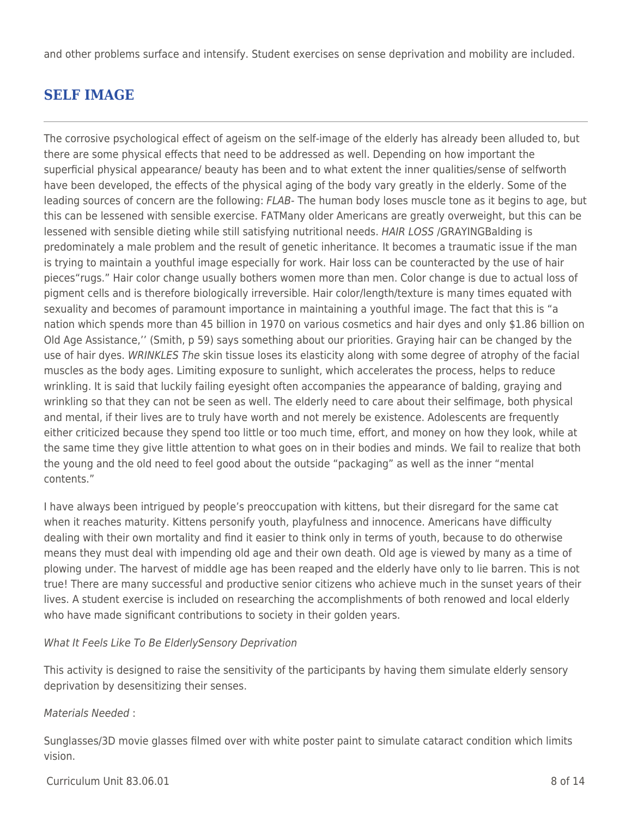and other problems surface and intensify. Student exercises on sense deprivation and mobility are included.

## **SELF IMAGE**

The corrosive psychological effect of ageism on the self-image of the elderly has already been alluded to, but there are some physical effects that need to be addressed as well. Depending on how important the superficial physical appearance/ beauty has been and to what extent the inner qualities/sense of selfworth have been developed, the effects of the physical aging of the body vary greatly in the elderly. Some of the leading sources of concern are the following: FLAB- The human body loses muscle tone as it begins to age, but this can be lessened with sensible exercise. FATMany older Americans are greatly overweight, but this can be lessened with sensible dieting while still satisfying nutritional needs. HAIR LOSS /GRAYINGBalding is predominately a male problem and the result of genetic inheritance. It becomes a traumatic issue if the man is trying to maintain a youthful image especially for work. Hair loss can be counteracted by the use of hair pieces"rugs." Hair color change usually bothers women more than men. Color change is due to actual loss of pigment cells and is therefore biologically irreversible. Hair color/length/texture is many times equated with sexuality and becomes of paramount importance in maintaining a youthful image. The fact that this is "a nation which spends more than 45 billion in 1970 on various cosmetics and hair dyes and only \$1.86 billion on Old Age Assistance,'' (Smith, p 59) says something about our priorities. Graying hair can be changed by the use of hair dyes. WRINKLES The skin tissue loses its elasticity along with some degree of atrophy of the facial muscles as the body ages. Limiting exposure to sunlight, which accelerates the process, helps to reduce wrinkling. It is said that luckily failing eyesight often accompanies the appearance of balding, graying and wrinkling so that they can not be seen as well. The elderly need to care about their selfimage, both physical and mental, if their lives are to truly have worth and not merely be existence. Adolescents are frequently either criticized because they spend too little or too much time, effort, and money on how they look, while at the same time they give little attention to what goes on in their bodies and minds. We fail to realize that both the young and the old need to feel good about the outside "packaging" as well as the inner "mental contents."

I have always been intrigued by people's preoccupation with kittens, but their disregard for the same cat when it reaches maturity. Kittens personify youth, playfulness and innocence. Americans have difficulty dealing with their own mortality and find it easier to think only in terms of youth, because to do otherwise means they must deal with impending old age and their own death. Old age is viewed by many as a time of plowing under. The harvest of middle age has been reaped and the elderly have only to lie barren. This is not true! There are many successful and productive senior citizens who achieve much in the sunset years of their lives. A student exercise is included on researching the accomplishments of both renowed and local elderly who have made significant contributions to society in their golden years.

#### What It Feels Like To Be ElderlySensory Deprivation

This activity is designed to raise the sensitivity of the participants by having them simulate elderly sensory deprivation by desensitizing their senses.

#### Materials Needed :

Sunglasses/3D movie glasses filmed over with white poster paint to simulate cataract condition which limits vision.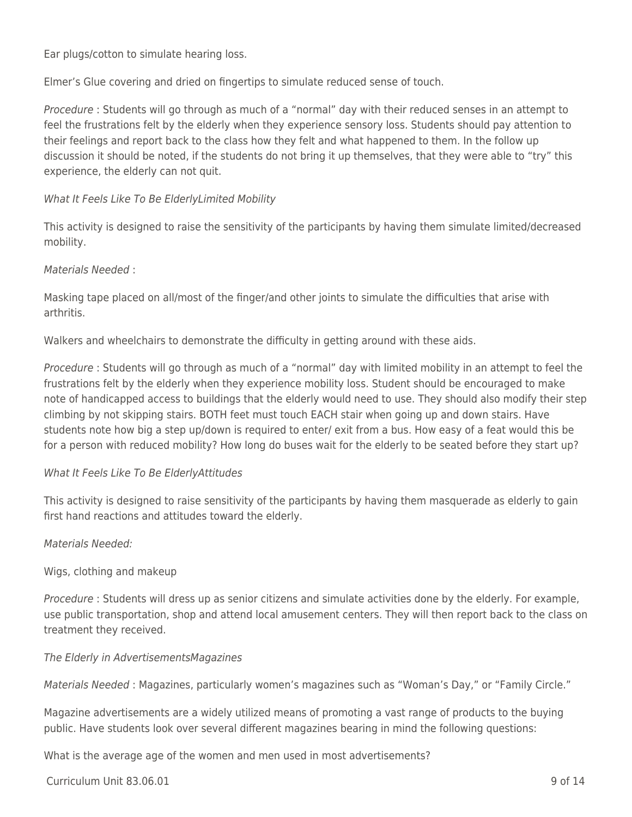Ear plugs/cotton to simulate hearing loss.

Elmer's Glue covering and dried on fingertips to simulate reduced sense of touch.

Procedure : Students will go through as much of a "normal" day with their reduced senses in an attempt to feel the frustrations felt by the elderly when they experience sensory loss. Students should pay attention to their feelings and report back to the class how they felt and what happened to them. In the follow up discussion it should be noted, if the students do not bring it up themselves, that they were able to "try" this experience, the elderly can not quit.

#### What It Feels Like To Be ElderlyLimited Mobility

This activity is designed to raise the sensitivity of the participants by having them simulate limited/decreased mobility.

#### Materials Needed :

Masking tape placed on all/most of the finger/and other joints to simulate the difficulties that arise with arthritis.

Walkers and wheelchairs to demonstrate the difficulty in getting around with these aids.

Procedure : Students will go through as much of a "normal" day with limited mobility in an attempt to feel the frustrations felt by the elderly when they experience mobility loss. Student should be encouraged to make note of handicapped access to buildings that the elderly would need to use. They should also modify their step climbing by not skipping stairs. BOTH feet must touch EACH stair when going up and down stairs. Have students note how big a step up/down is required to enter/ exit from a bus. How easy of a feat would this be for a person with reduced mobility? How long do buses wait for the elderly to be seated before they start up?

#### What It Feels Like To Be ElderlyAttitudes

This activity is designed to raise sensitivity of the participants by having them masquerade as elderly to gain first hand reactions and attitudes toward the elderly.

#### Materials Needed:

Wigs, clothing and makeup

Procedure : Students will dress up as senior citizens and simulate activities done by the elderly. For example, use public transportation, shop and attend local amusement centers. They will then report back to the class on treatment they received.

#### The Elderly in AdvertisementsMagazines

Materials Needed : Magazines, particularly women's magazines such as "Woman's Day," or "Family Circle."

Magazine advertisements are a widely utilized means of promoting a vast range of products to the buying public. Have students look over several different magazines bearing in mind the following questions:

What is the average age of the women and men used in most advertisements?

 $C$ urriculum Unit 83.06.01 9 of 14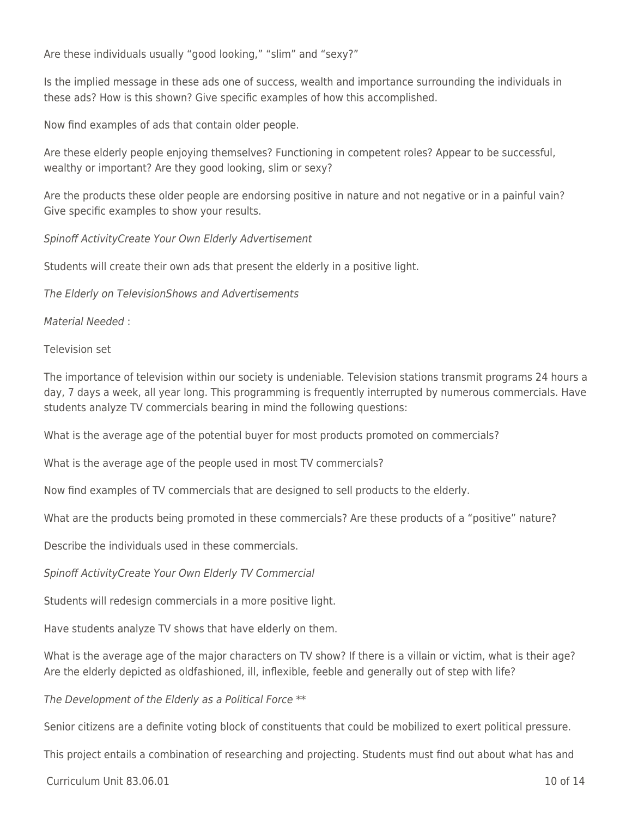Are these individuals usually "good looking," "slim" and "sexy?"

Is the implied message in these ads one of success, wealth and importance surrounding the individuals in these ads? How is this shown? Give specific examples of how this accomplished.

Now find examples of ads that contain older people.

Are these elderly people enjoying themselves? Functioning in competent roles? Appear to be successful, wealthy or important? Are they good looking, slim or sexy?

Are the products these older people are endorsing positive in nature and not negative or in a painful vain? Give specific examples to show your results.

Spinoff ActivityCreate Your Own Elderly Advertisement

Students will create their own ads that present the elderly in a positive light.

The Elderly on TelevisionShows and Advertisements

Material Needed :

Television set

The importance of television within our society is undeniable. Television stations transmit programs 24 hours a day, 7 days a week, all year long. This programming is frequently interrupted by numerous commercials. Have students analyze TV commercials bearing in mind the following questions:

What is the average age of the potential buyer for most products promoted on commercials?

What is the average age of the people used in most TV commercials?

Now find examples of TV commercials that are designed to sell products to the elderly.

What are the products being promoted in these commercials? Are these products of a "positive" nature?

Describe the individuals used in these commercials.

Spinoff ActivityCreate Your Own Elderly TV Commercial

Students will redesign commercials in a more positive light.

Have students analyze TV shows that have elderly on them.

What is the average age of the major characters on TV show? If there is a villain or victim, what is their age? Are the elderly depicted as oldfashioned, ill, inflexible, feeble and generally out of step with life?

The Development of the Elderly as a Political Force \*\*

Senior citizens are a definite voting block of constituents that could be mobilized to exert political pressure.

This project entails a combination of researching and projecting. Students must find out about what has and

 $C$ urriculum Unit 83.06.01  $\qquad$  10 of 14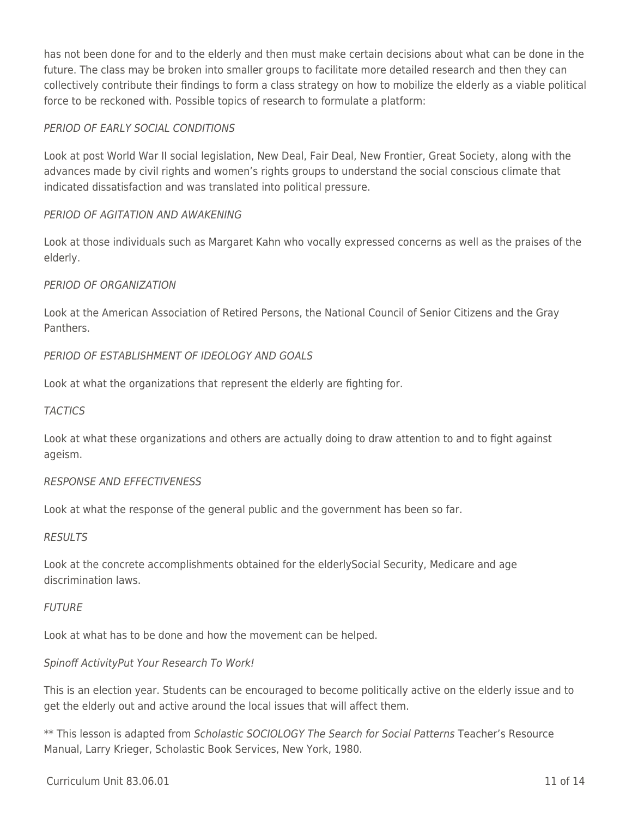has not been done for and to the elderly and then must make certain decisions about what can be done in the future. The class may be broken into smaller groups to facilitate more detailed research and then they can collectively contribute their findings to form a class strategy on how to mobilize the elderly as a viable political force to be reckoned with. Possible topics of research to formulate a platform:

#### PERIOD OF EARLY SOCIAL CONDITIONS

Look at post World War II social legislation, New Deal, Fair Deal, New Frontier, Great Society, along with the advances made by civil rights and women's rights groups to understand the social conscious climate that indicated dissatisfaction and was translated into political pressure.

#### PERIOD OF AGITATION AND AWAKENING

Look at those individuals such as Margaret Kahn who vocally expressed concerns as well as the praises of the elderly.

#### PERIOD OF ORGANIZATION

Look at the American Association of Retired Persons, the National Council of Senior Citizens and the Gray **Panthers** 

#### PERIOD OF ESTABLISHMENT OF IDEOLOGY AND GOALS

Look at what the organizations that represent the elderly are fighting for.

#### **TACTICS**

Look at what these organizations and others are actually doing to draw attention to and to fight against ageism.

#### RESPONSE AND EFFECTIVENESS

Look at what the response of the general public and the government has been so far.

#### RESULTS

Look at the concrete accomplishments obtained for the elderlySocial Security, Medicare and age discrimination laws.

#### FUTURE

Look at what has to be done and how the movement can be helped.

#### Spinoff ActivityPut Your Research To Work!

This is an election year. Students can be encouraged to become politically active on the elderly issue and to get the elderly out and active around the local issues that will affect them.

\*\* This lesson is adapted from Scholastic SOCIOLOGY The Search for Social Patterns Teacher's Resource Manual, Larry Krieger, Scholastic Book Services, New York, 1980.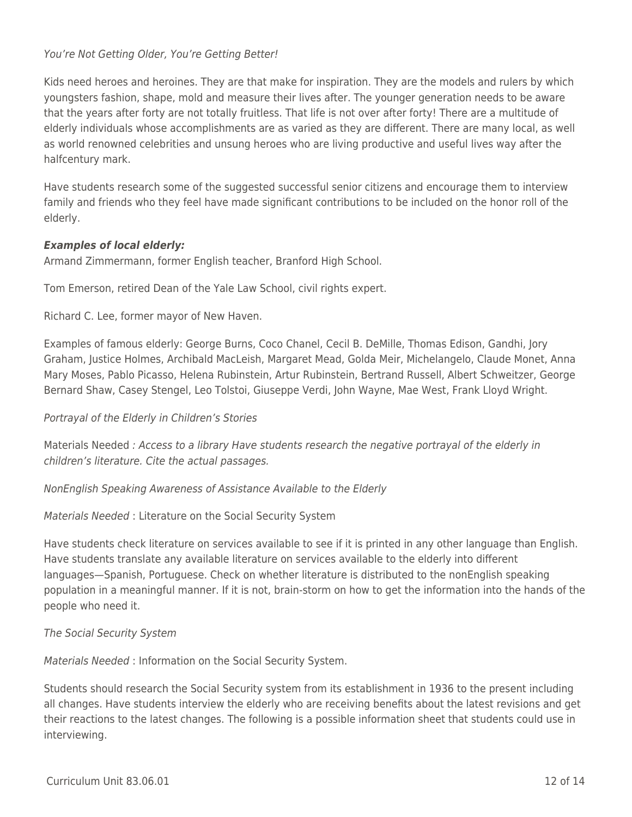#### You're Not Getting Older, You're Getting Better!

Kids need heroes and heroines. They are that make for inspiration. They are the models and rulers by which youngsters fashion, shape, mold and measure their lives after. The younger generation needs to be aware that the years after forty are not totally fruitless. That life is not over after forty! There are a multitude of elderly individuals whose accomplishments are as varied as they are different. There are many local, as well as world renowned celebrities and unsung heroes who are living productive and useful lives way after the halfcentury mark.

Have students research some of the suggested successful senior citizens and encourage them to interview family and friends who they feel have made significant contributions to be included on the honor roll of the elderly.

#### *Examples of local elderly:*

Armand Zimmermann, former English teacher, Branford High School.

Tom Emerson, retired Dean of the Yale Law School, civil rights expert.

Richard C. Lee, former mayor of New Haven.

Examples of famous elderly: George Burns, Coco Chanel, Cecil B. DeMille, Thomas Edison, Gandhi, Jory Graham, Justice Holmes, Archibald MacLeish, Margaret Mead, Golda Meir, Michelangelo, Claude Monet, Anna Mary Moses, Pablo Picasso, Helena Rubinstein, Artur Rubinstein, Bertrand Russell, Albert Schweitzer, George Bernard Shaw, Casey Stengel, Leo Tolstoi, Giuseppe Verdi, John Wayne, Mae West, Frank Lloyd Wright.

#### Portrayal of the Elderly in Children's Stories

Materials Needed : Access to a library Have students research the negative portrayal of the elderly in children's literature. Cite the actual passages.

NonEnglish Speaking Awareness of Assistance Available to the Elderly

#### Materials Needed : Literature on the Social Security System

Have students check literature on services available to see if it is printed in any other language than English. Have students translate any available literature on services available to the elderly into different languages—Spanish, Portuguese. Check on whether literature is distributed to the nonEnglish speaking population in a meaningful manner. If it is not, brain-storm on how to get the information into the hands of the people who need it.

The Social Security System

Materials Needed : Information on the Social Security System.

Students should research the Social Security system from its establishment in 1936 to the present including all changes. Have students interview the elderly who are receiving benefits about the latest revisions and get their reactions to the latest changes. The following is a possible information sheet that students could use in interviewing.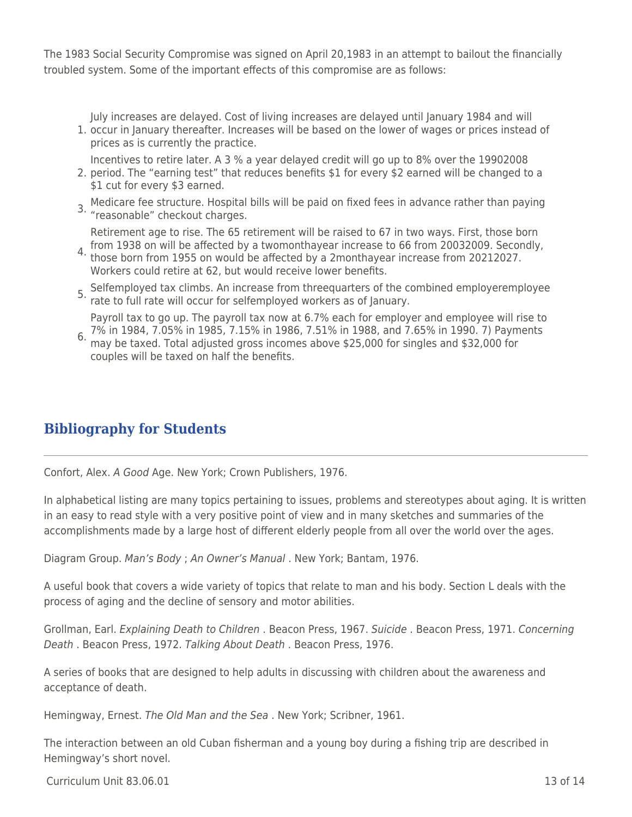The 1983 Social Security Compromise was signed on April 20,1983 in an attempt to bailout the financially troubled system. Some of the important effects of this compromise are as follows:

July increases are delayed. Cost of living increases are delayed until January 1984 and will

1. occur in January thereafter. Increases will be based on the lower of wages or prices instead of prices as is currently the practice.

Incentives to retire later. A 3 % a year delayed credit will go up to 8% over the 19902008

- 2. period. The "earning test" that reduces benefits \$1 for every \$2 earned will be changed to a \$1 cut for every \$3 earned.
- 3. Medicare fee structure. Hospital bills will be paid on fixed fees in advance rather than paying "reasonable" checkout charges.

4. from 1938 on will be affected by a twomonthayear increase to 66 from 20032009. Secondly,<br>4. these bern from 1955 on would be affected by a 2monthayear increase from 20212027 Retirement age to rise. The 65 retirement will be raised to 67 in two ways. First, those born

- those born from 1955 on would be affected by a 2monthayear increase from 20212027. Workers could retire at 62, but would receive lower benefits.
- 5. Selfemployed tax climbs. An increase from threequarters of the combined employeremployee rate to full rate will occur for selfemployed workers as of January.

Payroll tax to go up. The payroll tax now at 6.7% each for employer and employee will rise to 7% in 1984, 7.05% in 1985, 7.15% in 1986, 7.51% in 1988, and 7.65% in 1990. 7) Payments

6. may be taxed. Total adjusted gross incomes above \$25,000 for singles and \$32,000 for couples will be taxed on half the benefits.

## **Bibliography for Students**

Confort, Alex. A Good Age. New York; Crown Publishers, 1976.

In alphabetical listing are many topics pertaining to issues, problems and stereotypes about aging. It is written in an easy to read style with a very positive point of view and in many sketches and summaries of the accomplishments made by a large host of different elderly people from all over the world over the ages.

Diagram Group. Man's Body ; An Owner's Manual . New York; Bantam, 1976.

A useful book that covers a wide variety of topics that relate to man and his body. Section L deals with the process of aging and the decline of sensory and motor abilities.

Grollman, Earl. Explaining Death to Children . Beacon Press, 1967. Suicide . Beacon Press, 1971. Concerning Death . Beacon Press, 1972. Talking About Death . Beacon Press, 1976.

A series of books that are designed to help adults in discussing with children about the awareness and acceptance of death.

Hemingway, Ernest. The Old Man and the Sea . New York; Scribner, 1961.

The interaction between an old Cuban fisherman and a young boy during a fishing trip are described in Hemingway's short novel.

 $C$ urriculum Unit 83.06.01 13 of 14